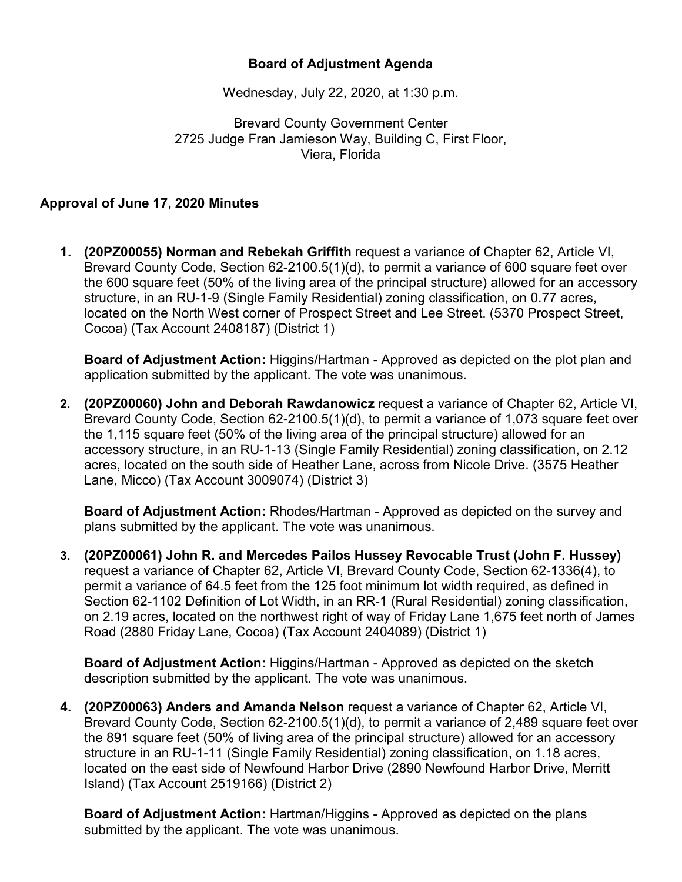## **Board of Adjustment Agenda**

Wednesday, July 22, 2020, at 1:30 p.m.

Brevard County Government Center 2725 Judge Fran Jamieson Way, Building C, First Floor, Viera, Florida

## **Approval of June 17, 2020 Minutes**

**1. (20PZ00055) Norman and Rebekah Griffith** request a variance of Chapter 62, Article VI, Brevard County Code, Section 62-2100.5(1)(d), to permit a variance of 600 square feet over the 600 square feet (50% of the living area of the principal structure) allowed for an accessory structure, in an RU-1-9 (Single Family Residential) zoning classification, on 0.77 acres, located on the North West corner of Prospect Street and Lee Street. (5370 Prospect Street, Cocoa) (Tax Account 2408187) (District 1)

**Board of Adjustment Action:** Higgins/Hartman - Approved as depicted on the plot plan and application submitted by the applicant. The vote was unanimous.

**2. (20PZ00060) John and Deborah Rawdanowicz** request a variance of Chapter 62, Article VI, Brevard County Code, Section 62-2100.5(1)(d), to permit a variance of 1,073 square feet over the 1,115 square feet (50% of the living area of the principal structure) allowed for an accessory structure, in an RU-1-13 (Single Family Residential) zoning classification, on 2.12 acres, located on the south side of Heather Lane, across from Nicole Drive. (3575 Heather Lane, Micco) (Tax Account 3009074) (District 3)

**Board of Adjustment Action:** Rhodes/Hartman - Approved as depicted on the survey and plans submitted by the applicant. The vote was unanimous.

**3. (20PZ00061) John R. and Mercedes Pailos Hussey Revocable Trust (John F. Hussey)**  request a variance of Chapter 62, Article VI, Brevard County Code, Section 62-1336(4), to permit a variance of 64.5 feet from the 125 foot minimum lot width required, as defined in Section 62-1102 Definition of Lot Width, in an RR-1 (Rural Residential) zoning classification, on 2.19 acres, located on the northwest right of way of Friday Lane 1,675 feet north of James Road (2880 Friday Lane, Cocoa) (Tax Account 2404089) (District 1)

**Board of Adjustment Action:** Higgins/Hartman - Approved as depicted on the sketch description submitted by the applicant. The vote was unanimous.

**4. (20PZ00063) Anders and Amanda Nelson** request a variance of Chapter 62, Article VI, Brevard County Code, Section 62-2100.5(1)(d), to permit a variance of 2,489 square feet over the 891 square feet (50% of living area of the principal structure) allowed for an accessory structure in an RU-1-11 (Single Family Residential) zoning classification, on 1.18 acres, located on the east side of Newfound Harbor Drive (2890 Newfound Harbor Drive, Merritt Island) (Tax Account 2519166) (District 2)

**Board of Adjustment Action:** Hartman/Higgins - Approved as depicted on the plans submitted by the applicant. The vote was unanimous.